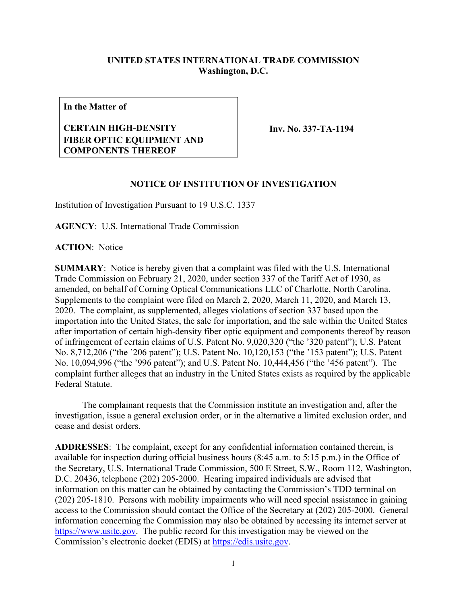## **UNITED STATES INTERNATIONAL TRADE COMMISSION Washington, D.C.**

**In the Matter of**

## **CERTAIN HIGH-DENSITY FIBER OPTIC EQUIPMENT AND COMPONENTS THEREOF**

**Inv. No. 337-TA-1194**

## **NOTICE OF INSTITUTION OF INVESTIGATION**

Institution of Investigation Pursuant to 19 U.S.C. 1337

**AGENCY**: U.S. International Trade Commission

**ACTION**: Notice

**SUMMARY**: Notice is hereby given that a complaint was filed with the U.S. International Trade Commission on February 21, 2020, under section 337 of the Tariff Act of 1930, as amended, on behalf of Corning Optical Communications LLC of Charlotte, North Carolina. Supplements to the complaint were filed on March 2, 2020, March 11, 2020, and March 13, 2020. The complaint, as supplemented, alleges violations of section 337 based upon the importation into the United States, the sale for importation, and the sale within the United States after importation of certain high-density fiber optic equipment and components thereof by reason of infringement of certain claims of U.S. Patent No. 9,020,320 ("the '320 patent"); U.S. Patent No. 8,712,206 ("the '206 patent"); U.S. Patent No. 10,120,153 ("the '153 patent"); U.S. Patent No. 10,094,996 ("the '996 patent"); and U.S. Patent No. 10,444,456 ("the '456 patent"). The complaint further alleges that an industry in the United States exists as required by the applicable Federal Statute.

The complainant requests that the Commission institute an investigation and, after the investigation, issue a general exclusion order, or in the alternative a limited exclusion order, and cease and desist orders.

**ADDRESSES**: The complaint, except for any confidential information contained therein, is available for inspection during official business hours (8:45 a.m. to 5:15 p.m.) in the Office of the Secretary, U.S. International Trade Commission, 500 E Street, S.W., Room 112, Washington, D.C. 20436, telephone (202) 205-2000. Hearing impaired individuals are advised that information on this matter can be obtained by contacting the Commission's TDD terminal on (202) 205-1810. Persons with mobility impairments who will need special assistance in gaining access to the Commission should contact the Office of the Secretary at (202) 205-2000. General information concerning the Commission may also be obtained by accessing its internet server at [https://www.usitc.gov.](https://www.usitc.gov/) The public record for this investigation may be viewed on the Commission's electronic docket (EDIS) at [https://edis.usitc.gov.](https://edis.usitc.gov/)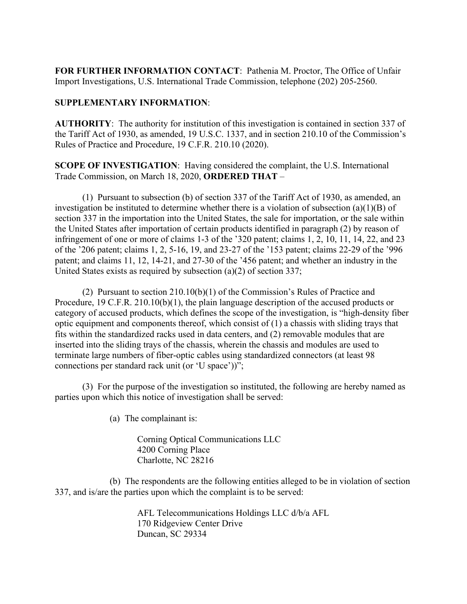**FOR FURTHER INFORMATION CONTACT**: Pathenia M. Proctor, The Office of Unfair Import Investigations, U.S. International Trade Commission, telephone (202) 205-2560.

## **SUPPLEMENTARY INFORMATION**:

**AUTHORITY**: The authority for institution of this investigation is contained in section 337 of the Tariff Act of 1930, as amended, 19 U.S.C. 1337, and in section 210.10 of the Commission's Rules of Practice and Procedure, 19 C.F.R. 210.10 (2020).

**SCOPE OF INVESTIGATION**: Having considered the complaint, the U.S. International Trade Commission, on March 18, 2020, **ORDERED THAT** –

(1) Pursuant to subsection (b) of section 337 of the Tariff Act of 1930, as amended, an investigation be instituted to determine whether there is a violation of subsection (a)(1)(B) of section 337 in the importation into the United States, the sale for importation, or the sale within the United States after importation of certain products identified in paragraph (2) by reason of infringement of one or more of claims 1-3 of the '320 patent; claims 1, 2, 10, 11, 14, 22, and 23 of the '206 patent; claims 1, 2, 5-16, 19, and 23-27 of the '153 patent; claims 22-29 of the '996 patent; and claims 11, 12, 14-21, and 27-30 of the '456 patent; and whether an industry in the United States exists as required by subsection (a)(2) of section 337;

(2) Pursuant to section 210.10(b)(1) of the Commission's Rules of Practice and Procedure, 19 C.F.R. 210.10(b)(1), the plain language description of the accused products or category of accused products, which defines the scope of the investigation, is "high-density fiber optic equipment and components thereof, which consist of (1) a chassis with sliding trays that fits within the standardized racks used in data centers, and (2) removable modules that are inserted into the sliding trays of the chassis, wherein the chassis and modules are used to terminate large numbers of fiber-optic cables using standardized connectors (at least 98 connections per standard rack unit (or 'U space'))";

(3) For the purpose of the investigation so instituted, the following are hereby named as parties upon which this notice of investigation shall be served:

(a) The complainant is:

Corning Optical Communications LLC 4200 Corning Place Charlotte, NC 28216

(b) The respondents are the following entities alleged to be in violation of section 337, and is/are the parties upon which the complaint is to be served:

> AFL Telecommunications Holdings LLC d/b/a AFL 170 Ridgeview Center Drive Duncan, SC 29334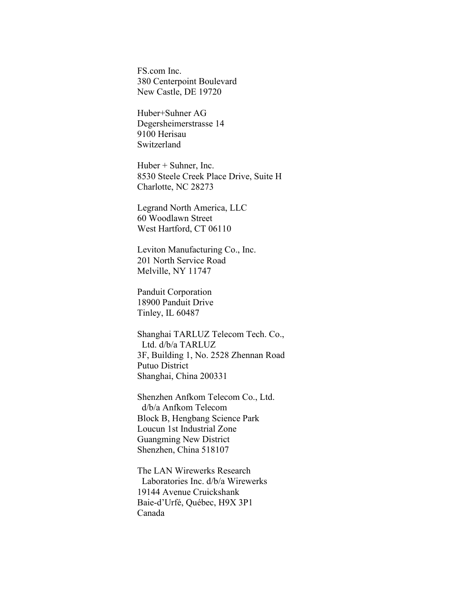FS.com Inc. 380 Centerpoint Boulevard New Castle, DE 19720

Huber+Suhner AG Degersheimerstrasse 14 9100 Herisau Switzerland

Huber + Suhner, Inc. 8530 Steele Creek Place Drive, Suite H Charlotte, NC 28273

Legrand North America, LLC 60 Woodlawn Street West Hartford, CT 06110

Leviton Manufacturing Co., Inc. 201 North Service Road Melville, NY 11747

Panduit Corporation 18900 Panduit Drive Tinley, IL 60487

Shanghai TARLUZ Telecom Tech. Co., Ltd. d/b/a TARLUZ 3F, Building 1, No. 2528 Zhennan Road Putuo District Shanghai, China 200331

Shenzhen Anfkom Telecom Co., Ltd. d/b/a Anfkom Telecom Block B, Hengbang Science Park Loucun 1st Industrial Zone Guangming New District Shenzhen, China 518107

The LAN Wirewerks Research Laboratories Inc. d/b/a Wirewerks 19144 Avenue Cruickshank Baie-d'Urfé, Québec, H9X 3P1 Canada